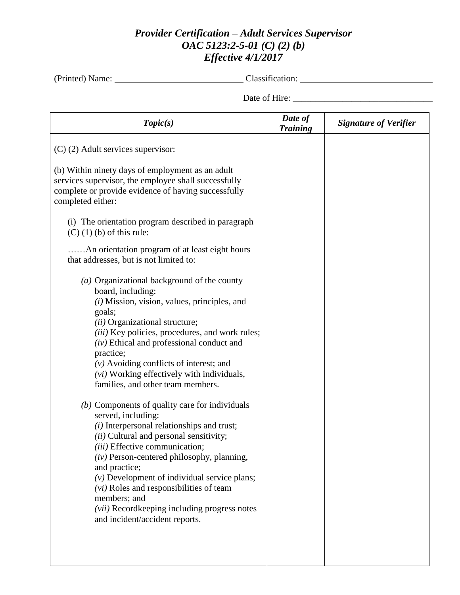## *Provider Certification – Adult Services Supervisor OAC 5123:2-5-01 (C) (2) (b) Effective 4/1/2017*

(Printed) Name: Classification:

Date of Hire: \_\_\_\_\_\_\_\_\_\_\_\_\_\_\_\_\_\_\_\_\_\_\_\_\_\_\_\_\_\_\_

| Topic(s)                                                                                                                                                                                                                                                                                                                                                                                                                                                                                                                                | Date of<br><b>Training</b> | <b>Signature of Verifier</b> |
|-----------------------------------------------------------------------------------------------------------------------------------------------------------------------------------------------------------------------------------------------------------------------------------------------------------------------------------------------------------------------------------------------------------------------------------------------------------------------------------------------------------------------------------------|----------------------------|------------------------------|
| $(C)$ (2) Adult services supervisor:                                                                                                                                                                                                                                                                                                                                                                                                                                                                                                    |                            |                              |
| (b) Within ninety days of employment as an adult<br>services supervisor, the employee shall successfully<br>complete or provide evidence of having successfully<br>completed either:                                                                                                                                                                                                                                                                                                                                                    |                            |                              |
| (i) The orientation program described in paragraph<br>$(C)$ (1) (b) of this rule:                                                                                                                                                                                                                                                                                                                                                                                                                                                       |                            |                              |
| . An orientation program of at least eight hours<br>that addresses, but is not limited to:                                                                                                                                                                                                                                                                                                                                                                                                                                              |                            |                              |
| (a) Organizational background of the county<br>board, including:<br>$(i)$ Mission, vision, values, principles, and<br>goals;<br>(ii) Organizational structure;<br>(iii) Key policies, procedures, and work rules;<br>$(iv)$ Ethical and professional conduct and<br>practice;<br>$(v)$ Avoiding conflicts of interest; and<br>(vi) Working effectively with individuals,<br>families, and other team members.<br>$(b)$ Components of quality care for individuals<br>served, including:<br>$(i)$ Interpersonal relationships and trust; |                            |                              |
| (ii) Cultural and personal sensitivity;<br>(iii) Effective communication;<br>$(iv)$ Person-centered philosophy, planning,<br>and practice;<br>$(v)$ Development of individual service plans;<br>$(vi)$ Roles and responsibilities of team<br>members; and<br><i>(vii)</i> Recordkeeping including progress notes<br>and incident/accident reports.                                                                                                                                                                                      |                            |                              |